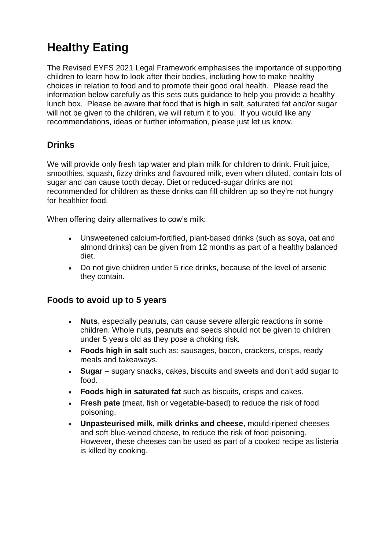# **Healthy Eating**

The Revised EYFS 2021 Legal Framework emphasises the importance of supporting children to learn how to look after their bodies, including how to make healthy choices in relation to food and to promote their good oral health. Please read the information below carefully as this sets outs guidance to help you provide a healthy lunch box. Please be aware that food that is **high** in salt, saturated fat and/or sugar will not be given to the children, we will return it to you. If you would like any recommendations, ideas or further information, please just let us know.

## **Drinks**

We will provide only fresh tap water and plain milk for children to drink. Fruit juice, smoothies, squash, fizzy drinks and flavoured milk, even when diluted, contain lots of sugar and can cause tooth decay. Diet or reduced-sugar drinks are not recommended for children as these drinks can fill children up so they're not hungry for healthier food.

When offering dairy alternatives to cow's milk:

- Unsweetened calcium-fortified, plant-based drinks (such as soya, oat and almond drinks) can be given from 12 months as part of a healthy balanced diet.
- Do not give children under 5 rice drinks, because of the level of arsenic they contain.

#### **Foods to avoid up to 5 years**

- **Nuts**, especially peanuts, can cause severe allergic reactions in some children. Whole nuts, peanuts and seeds should not be given to children under 5 years old as they pose a choking risk.
- **Foods high in salt** such as: sausages, bacon, crackers, crisps, ready meals and takeaways.
- **Sugar** sugary snacks, cakes, biscuits and sweets and don't add sugar to food.
- **Foods high in saturated fat** such as biscuits, crisps and cakes.
- **Fresh pate** (meat, fish or vegetable-based) to reduce the risk of food poisoning.
- **Unpasteurised milk, milk drinks and cheese**, mould-ripened cheeses and soft blue-veined cheese, to reduce the risk of food poisoning. However, these cheeses can be used as part of a cooked recipe as listeria is killed by cooking.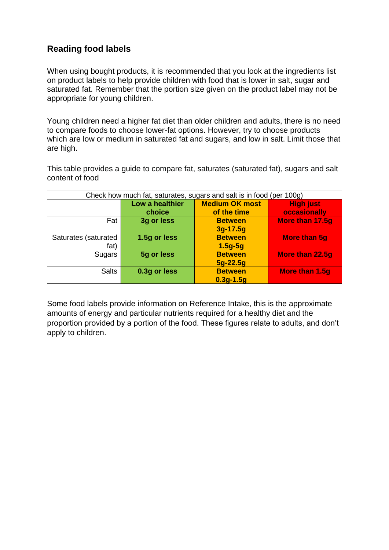# **Reading food labels**

When using bought products, it is recommended that you look at the ingredients list on product labels to help provide children with food that is lower in salt, sugar and saturated fat. Remember that the portion size given on the product label may not be appropriate for young children.

Young children need a higher fat diet than older children and adults, there is no need to compare foods to choose lower-fat options. However, try to choose products which are low or medium in saturated fat and sugars, and low in salt. Limit those that are high.

This table provides a guide to compare fat, saturates (saturated fat), sugars and salt content of food

| Check how much fat, saturates, sugars and salt is in food (per 100g) |                           |                                      |                                  |
|----------------------------------------------------------------------|---------------------------|--------------------------------------|----------------------------------|
|                                                                      | Low a healthier<br>choice | <b>Medium OK most</b><br>of the time | <b>High just</b><br>occasionally |
| Fat                                                                  | 3g or less                | <b>Between</b><br>$3g-17.5g$         | More than 17.5g                  |
| Saturates (saturated<br>fat)                                         | 1.5g or less              | <b>Between</b><br>$1.5g-5g$          | <b>More than 5g</b>              |
| Sugars                                                               | 5g or less                | <b>Between</b><br>$5g-22.5g$         | More than 22.5g                  |
| <b>Salts</b>                                                         | 0.3g or less              | <b>Between</b><br>$0.3g-1.5g$        | More than 1.5g                   |

Some food labels provide information on Reference Intake, this is the approximate amounts of energy and particular nutrients required for a healthy diet and the proportion provided by a portion of the food. These figures relate to adults, and don't apply to children.